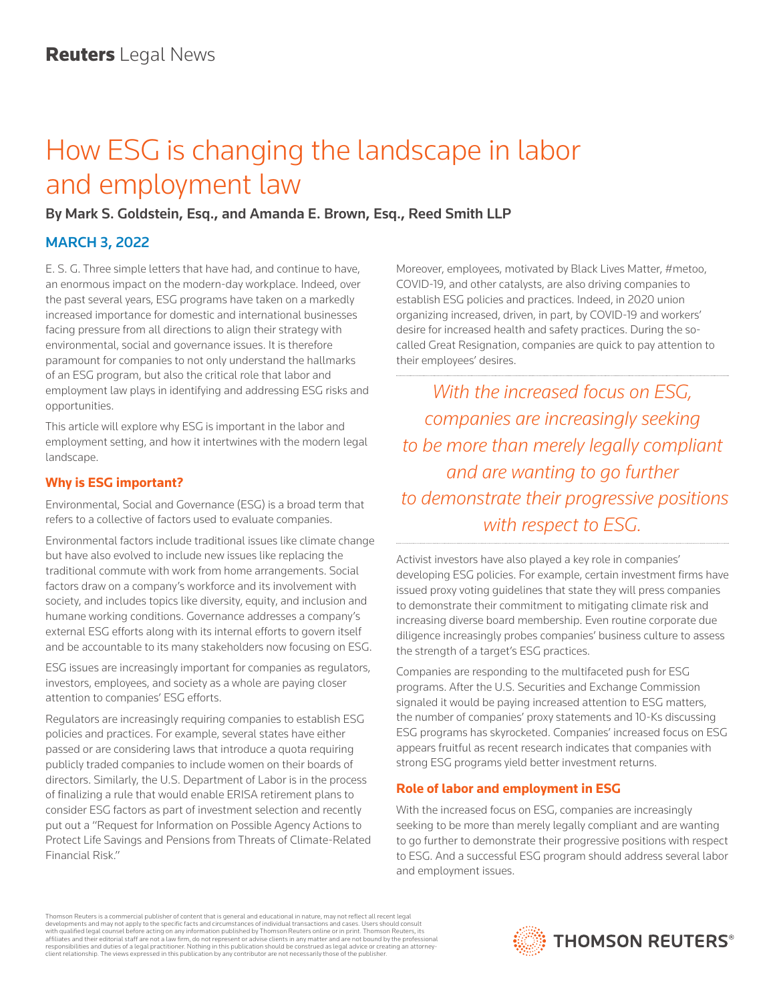# How ESG is changing the landscape in labor and employment law

# By Mark S. Goldstein, Esq., and Amanda E. Brown, Esq., Reed Smith LLP

# MARCH 3, 2022

E. S. G. Three simple letters that have had, and continue to have, an enormous impact on the modern-day workplace. Indeed, over the past several years, ESG programs have taken on a markedly increased importance for domestic and international businesses facing pressure from all directions to align their strategy with environmental, social and governance issues. It is therefore paramount for companies to not only understand the hallmarks of an ESG program, but also the critical role that labor and employment law plays in identifying and addressing ESG risks and opportunities.

This article will explore why ESG is important in the labor and employment setting, and how it intertwines with the modern legal landscape.

### **Why is ESG important?**

Environmental, Social and Governance (ESG) is a broad term that refers to a collective of factors used to evaluate companies.

Environmental factors include traditional issues like climate change but have also evolved to include new issues like replacing the traditional commute with work from home arrangements. Social factors draw on a company's workforce and its involvement with society, and includes topics like diversity, equity, and inclusion and humane working conditions. Governance addresses a company's external ESG efforts along with its internal efforts to govern itself and be accountable to its many stakeholders now focusing on ESG.

ESG issues are increasingly important for companies as regulators, investors, employees, and society as a whole are paying closer attention to companies' ESG efforts.

Regulators are increasingly requiring companies to establish ESG policies and practices. For example, several states have either passed or are considering laws that introduce a quota requiring publicly traded companies to include women on their boards of directors. Similarly, the U.S. Department of Labor is in the process of finalizing a rule that would enable ERISA retirement plans to consider ESG factors as part of investment selection and recently put out a "Request for Information on Possible Agency Actions to Protect Life Savings and Pensions from Threats of Climate-Related Financial Risk."

Moreover, employees, motivated by Black Lives Matter, #metoo, COVID-19, and other catalysts, are also driving companies to establish ESG policies and practices. Indeed, in 2020 union organizing increased, driven, in part, by COVID-19 and workers' desire for increased health and safety practices. During the socalled Great Resignation, companies are quick to pay attention to their employees' desires.

*With the increased focus on ESG, companies are increasingly seeking to be more than merely legally compliant and are wanting to go further to demonstrate their progressive positions with respect to ESG.*

Activist investors have also played a key role in companies' developing ESG policies. For example, certain investment firms have issued proxy voting guidelines that state they will press companies to demonstrate their commitment to mitigating climate risk and increasing diverse board membership. Even routine corporate due diligence increasingly probes companies' business culture to assess the strength of a target's ESG practices.

Companies are responding to the multifaceted push for ESG programs. After the U.S. Securities and Exchange Commission signaled it would be paying increased attention to ESG matters, the number of companies' proxy statements and 10-Ks discussing ESG programs has skyrocketed. Companies' increased focus on ESG appears fruitful as recent research indicates that companies with strong ESG programs yield better investment returns.

#### **Role of labor and employment in ESG**

With the increased focus on ESG, companies are increasingly seeking to be more than merely legally compliant and are wanting to go further to demonstrate their progressive positions with respect to ESG. And a successful ESG program should address several labor and employment issues.

Thomson Reuters is a commercial publisher of content that is general and educational in nature, may not reflect all recent legal developments and may not apply to the specific facts and circumstances of individual transactions and cases. Users should consult<br>with qualified legal counsel before acting on any information published by Thomson Reuters o responsibilities and duties of a legal practitioner. Nothing in this publication should be construed as legal advice or creating an attorneyclient relationship. The views expressed in this publication by any contributor are not necessarily those of the publisher.

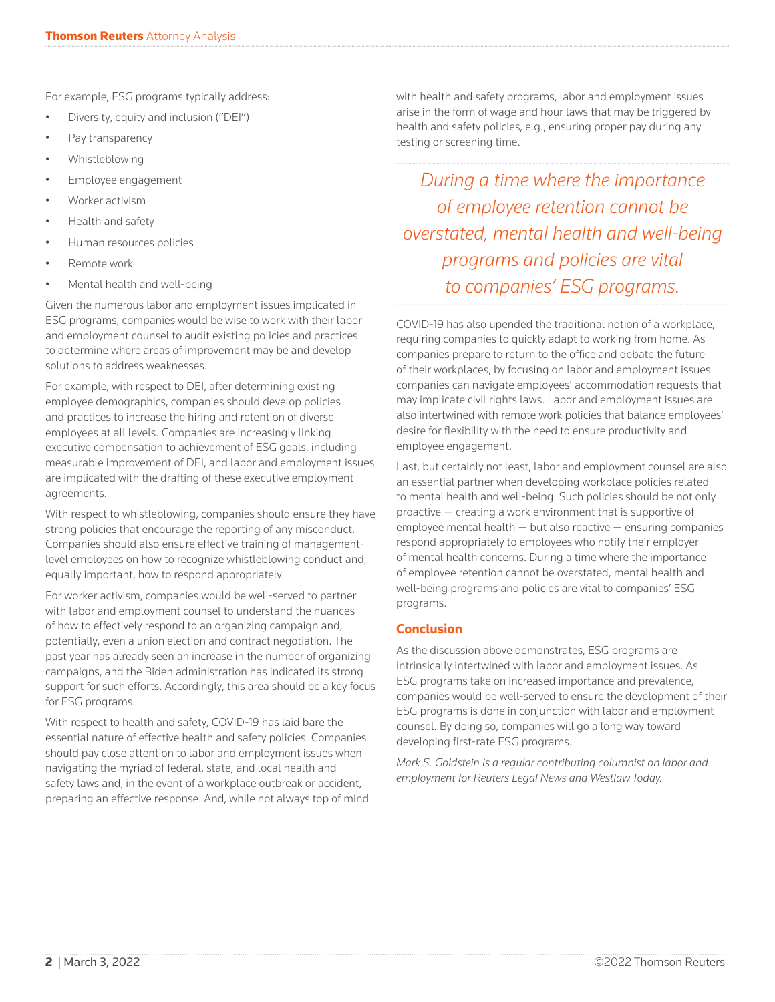For example, ESG programs typically address:

- Diversity, equity and inclusion ("DEI")
- Pay transparency
- Whistleblowing
- Employee engagement
- Worker activism
- Health and safety
- Human resources policies
- Remote work
- Mental health and well-being

Given the numerous labor and employment issues implicated in ESG programs, companies would be wise to work with their labor and employment counsel to audit existing policies and practices to determine where areas of improvement may be and develop solutions to address weaknesses.

For example, with respect to DEI, after determining existing employee demographics, companies should develop policies and practices to increase the hiring and retention of diverse employees at all levels. Companies are increasingly linking executive compensation to achievement of ESG goals, including measurable improvement of DEI, and labor and employment issues are implicated with the drafting of these executive employment agreements.

With respect to whistleblowing, companies should ensure they have strong policies that encourage the reporting of any misconduct. Companies should also ensure effective training of managementlevel employees on how to recognize whistleblowing conduct and, equally important, how to respond appropriately.

For worker activism, companies would be well-served to partner with labor and employment counsel to understand the nuances of how to effectively respond to an organizing campaign and, potentially, even a union election and contract negotiation. The past year has already seen an increase in the number of organizing campaigns, and the Biden administration has indicated its strong support for such efforts. Accordingly, this area should be a key focus for ESG programs.

With respect to health and safety, COVID-19 has laid bare the essential nature of effective health and safety policies. Companies should pay close attention to labor and employment issues when navigating the myriad of federal, state, and local health and safety laws and, in the event of a workplace outbreak or accident, preparing an effective response. And, while not always top of mind with health and safety programs, labor and employment issues arise in the form of wage and hour laws that may be triggered by health and safety policies, e.g., ensuring proper pay during any testing or screening time.

*During a time where the importance of employee retention cannot be overstated, mental health and well-being programs and policies are vital to companies' ESG programs.*

COVID-19 has also upended the traditional notion of a workplace, requiring companies to quickly adapt to working from home. As companies prepare to return to the office and debate the future of their workplaces, by focusing on labor and employment issues companies can navigate employees' accommodation requests that may implicate civil rights laws. Labor and employment issues are also intertwined with remote work policies that balance employees' desire for flexibility with the need to ensure productivity and employee engagement.

Last, but certainly not least, labor and employment counsel are also an essential partner when developing workplace policies related to mental health and well-being. Such policies should be not only proactive — creating a work environment that is supportive of employee mental health — but also reactive — ensuring companies respond appropriately to employees who notify their employer of mental health concerns. During a time where the importance of employee retention cannot be overstated, mental health and well-being programs and policies are vital to companies' ESG programs.

#### **Conclusion**

As the discussion above demonstrates, ESG programs are intrinsically intertwined with labor and employment issues. As ESG programs take on increased importance and prevalence, companies would be well-served to ensure the development of their ESG programs is done in conjunction with labor and employment counsel. By doing so, companies will go a long way toward developing first-rate ESG programs.

*Mark S. Goldstein is a regular contributing columnist on labor and employment for Reuters Legal News and Westlaw Today.*